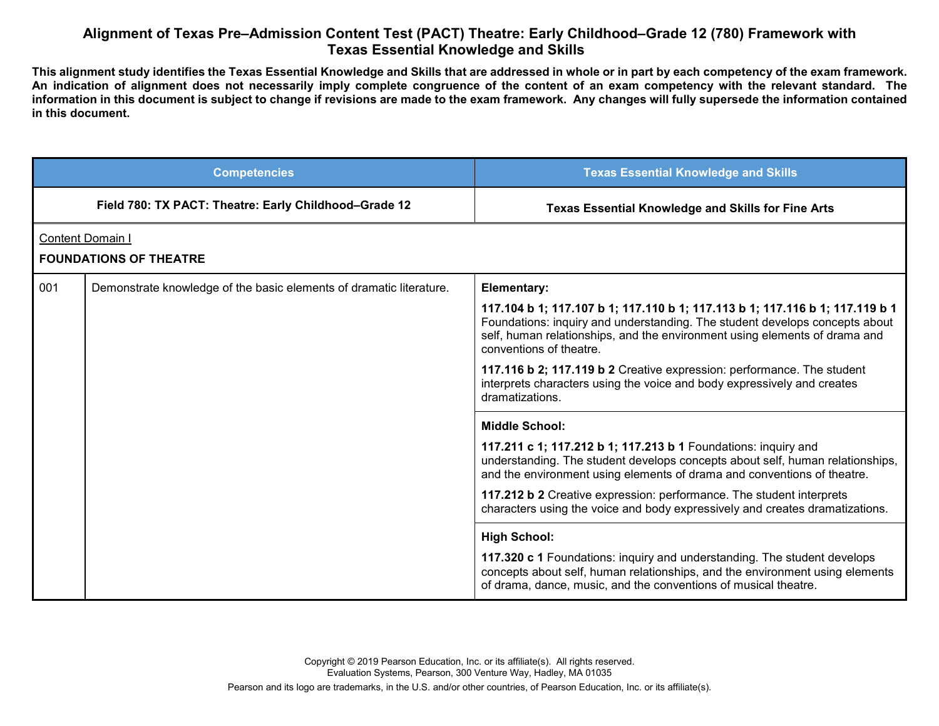## **Alignment of Texas Pre–Admission Content Test (PACT) Theatre: Early Childhood–Grade 12 (780) Framework with Texas Essential Knowledge and Skills**

**This alignment study identifies the Texas Essential Knowledge and Skills that are addressed in whole or in part by each competency of the exam framework. An indication of alignment does not necessarily imply complete congruence of the content of an exam competency with the relevant standard. The information in this document is subject to change if revisions are made to the exam framework. Any changes will fully supersede the information contained in this document.**

|                  | <b>Competencies</b>                                                 | <b>Texas Essential Knowledge and Skills</b>                                                                                                                                                                                                                          |
|------------------|---------------------------------------------------------------------|----------------------------------------------------------------------------------------------------------------------------------------------------------------------------------------------------------------------------------------------------------------------|
|                  | Field 780: TX PACT: Theatre: Early Childhood-Grade 12               | <b>Texas Essential Knowledge and Skills for Fine Arts</b>                                                                                                                                                                                                            |
| Content Domain I |                                                                     |                                                                                                                                                                                                                                                                      |
|                  | <b>FOUNDATIONS OF THEATRE</b>                                       |                                                                                                                                                                                                                                                                      |
| 001              | Demonstrate knowledge of the basic elements of dramatic literature. | <b>Elementary:</b>                                                                                                                                                                                                                                                   |
|                  |                                                                     | 117.104 b 1; 117.107 b 1; 117.110 b 1; 117.113 b 1; 117.116 b 1; 117.119 b 1<br>Foundations: inquiry and understanding. The student develops concepts about<br>self, human relationships, and the environment using elements of drama and<br>conventions of theatre. |
|                  |                                                                     | 117.116 b 2; 117.119 b 2 Creative expression: performance. The student<br>interprets characters using the voice and body expressively and creates<br>dramatizations.                                                                                                 |
|                  |                                                                     | <b>Middle School:</b>                                                                                                                                                                                                                                                |
|                  |                                                                     | 117.211 c 1; 117.212 b 1; 117.213 b 1 Foundations: inquiry and<br>understanding. The student develops concepts about self, human relationships,<br>and the environment using elements of drama and conventions of theatre.                                           |
|                  |                                                                     | 117.212 b 2 Creative expression: performance. The student interprets<br>characters using the voice and body expressively and creates dramatizations.                                                                                                                 |
|                  |                                                                     | <b>High School:</b>                                                                                                                                                                                                                                                  |
|                  |                                                                     | 117.320 c 1 Foundations: inquiry and understanding. The student develops<br>concepts about self, human relationships, and the environment using elements<br>of drama, dance, music, and the conventions of musical theatre.                                          |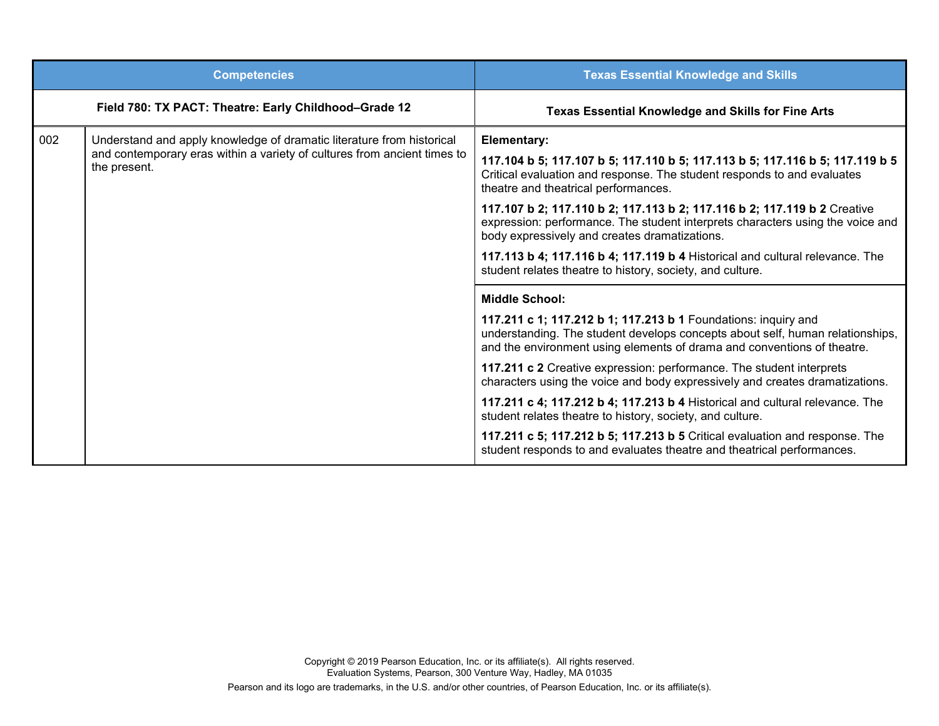|     | <b>Competencies</b>                                                                                                                                               | <b>Texas Essential Knowledge and Skills</b>                                                                                                                                                                                                                                                                                                                                                                                                                                                                                                                                                                                                                                                                       |
|-----|-------------------------------------------------------------------------------------------------------------------------------------------------------------------|-------------------------------------------------------------------------------------------------------------------------------------------------------------------------------------------------------------------------------------------------------------------------------------------------------------------------------------------------------------------------------------------------------------------------------------------------------------------------------------------------------------------------------------------------------------------------------------------------------------------------------------------------------------------------------------------------------------------|
|     | Field 780: TX PACT: Theatre: Early Childhood-Grade 12                                                                                                             | <b>Texas Essential Knowledge and Skills for Fine Arts</b>                                                                                                                                                                                                                                                                                                                                                                                                                                                                                                                                                                                                                                                         |
| 002 | Understand and apply knowledge of dramatic literature from historical<br>and contemporary eras within a variety of cultures from ancient times to<br>the present. | Elementary:<br>117.104 b 5; 117.107 b 5; 117.110 b 5; 117.113 b 5; 117.116 b 5; 117.119 b 5<br>Critical evaluation and response. The student responds to and evaluates<br>theatre and theatrical performances.<br>117.107 b 2; 117.110 b 2; 117.113 b 2; 117.116 b 2; 117.119 b 2 Creative<br>expression: performance. The student interprets characters using the voice and<br>body expressively and creates dramatizations.<br>117.113 b 4; 117.116 b 4; 117.119 b 4 Historical and cultural relevance. The<br>student relates theatre to history, society, and culture.                                                                                                                                        |
|     |                                                                                                                                                                   | <b>Middle School:</b><br>117.211 c 1; 117.212 b 1; 117.213 b 1 Foundations: inquiry and<br>understanding. The student develops concepts about self, human relationships,<br>and the environment using elements of drama and conventions of theatre.<br>117.211 c 2 Creative expression: performance. The student interprets<br>characters using the voice and body expressively and creates dramatizations.<br>117.211 c 4; 117.212 b 4; 117.213 b 4 Historical and cultural relevance. The<br>student relates theatre to history, society, and culture.<br>117.211 c 5; 117.212 b 5; 117.213 b 5 Critical evaluation and response. The<br>student responds to and evaluates theatre and theatrical performances. |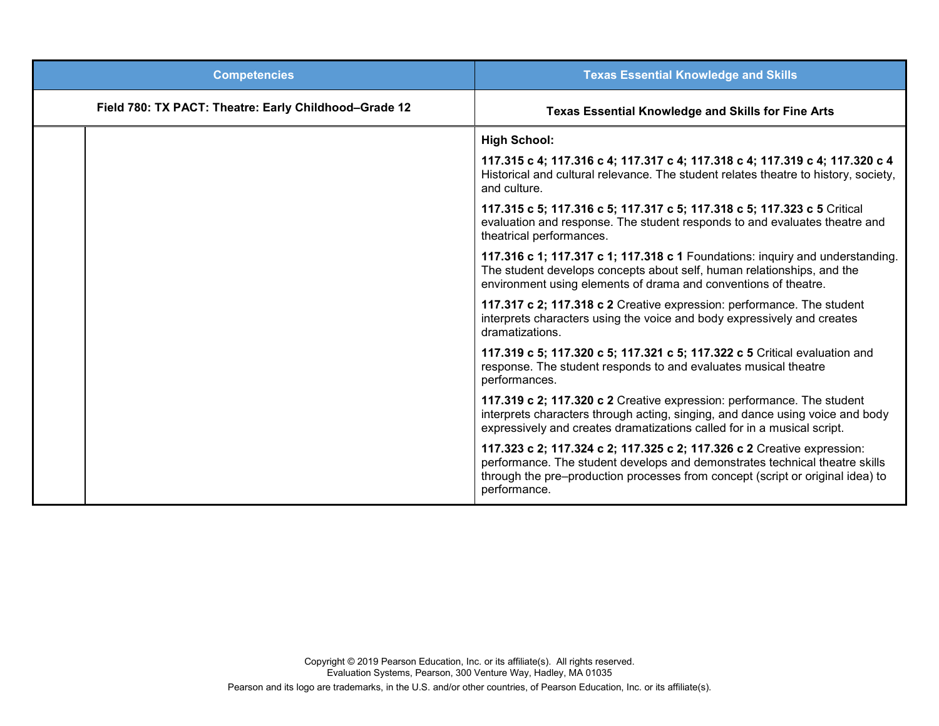| <b>Competencies</b>                                   | <b>Texas Essential Knowledge and Skills</b>                                                                                                                                                                                                              |
|-------------------------------------------------------|----------------------------------------------------------------------------------------------------------------------------------------------------------------------------------------------------------------------------------------------------------|
| Field 780: TX PACT: Theatre: Early Childhood-Grade 12 | <b>Texas Essential Knowledge and Skills for Fine Arts</b>                                                                                                                                                                                                |
|                                                       | <b>High School:</b>                                                                                                                                                                                                                                      |
|                                                       | 117.315 c 4; 117.316 c 4; 117.317 c 4; 117.318 c 4; 117.319 c 4; 117.320 c 4<br>Historical and cultural relevance. The student relates theatre to history, society,<br>and culture.                                                                      |
|                                                       | 117.315 c 5; 117.316 c 5; 117.317 c 5; 117.318 c 5; 117.323 c 5 Critical<br>evaluation and response. The student responds to and evaluates theatre and<br>theatrical performances.                                                                       |
|                                                       | 117.316 c 1; 117.317 c 1; 117.318 c 1 Foundations: inquiry and understanding.<br>The student develops concepts about self, human relationships, and the<br>environment using elements of drama and conventions of theatre.                               |
|                                                       | 117.317 c 2; 117.318 c 2 Creative expression: performance. The student<br>interprets characters using the voice and body expressively and creates<br>dramatizations.                                                                                     |
|                                                       | 117.319 c 5; 117.320 c 5; 117.321 c 5; 117.322 c 5 Critical evaluation and<br>response. The student responds to and evaluates musical theatre<br>performances.                                                                                           |
|                                                       | 117.319 c 2; 117.320 c 2 Creative expression: performance. The student<br>interprets characters through acting, singing, and dance using voice and body<br>expressively and creates dramatizations called for in a musical script.                       |
|                                                       | 117.323 c 2; 117.324 c 2; 117.325 c 2; 117.326 c 2 Creative expression:<br>performance. The student develops and demonstrates technical theatre skills<br>through the pre-production processes from concept (script or original idea) to<br>performance. |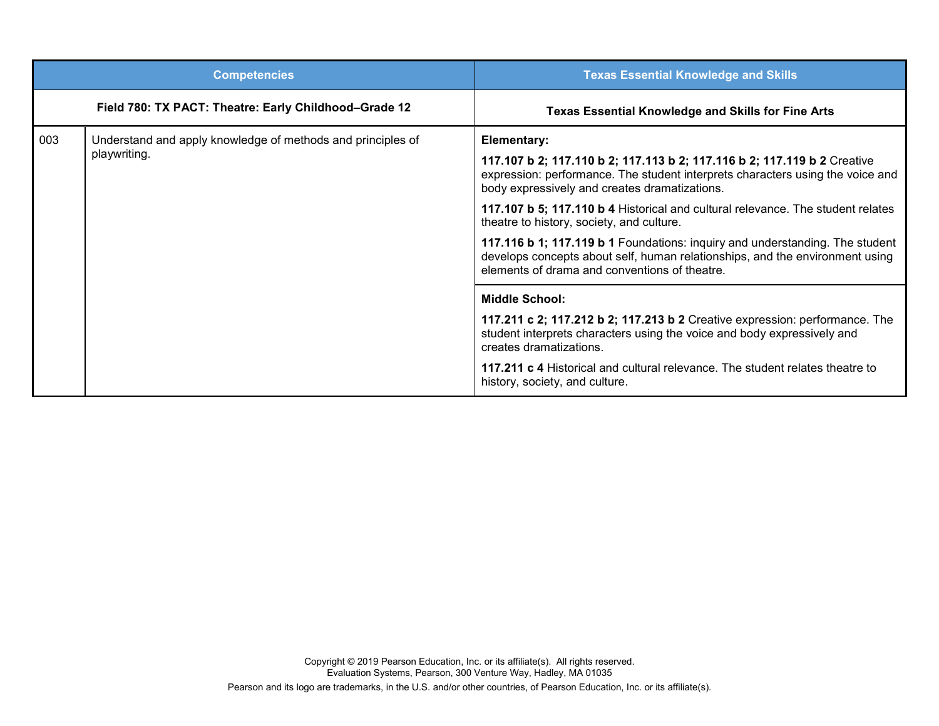|              | <b>Competencies</b>                                                                                                                                                                                           | <b>Texas Essential Knowledge and Skills</b>                                                                                                                                                                 |
|--------------|---------------------------------------------------------------------------------------------------------------------------------------------------------------------------------------------------------------|-------------------------------------------------------------------------------------------------------------------------------------------------------------------------------------------------------------|
|              | Field 780: TX PACT: Theatre: Early Childhood-Grade 12                                                                                                                                                         | <b>Texas Essential Knowledge and Skills for Fine Arts</b>                                                                                                                                                   |
| 003          | Understand and apply knowledge of methods and principles of                                                                                                                                                   | Elementary:                                                                                                                                                                                                 |
| playwriting. |                                                                                                                                                                                                               | 117.107 b 2; 117.110 b 2; 117.113 b 2; 117.116 b 2; 117.119 b 2 Creative<br>expression: performance. The student interprets characters using the voice and<br>body expressively and creates dramatizations. |
|              |                                                                                                                                                                                                               | 117.107 b 5; 117.110 b 4 Historical and cultural relevance. The student relates<br>theatre to history, society, and culture.                                                                                |
|              | 117.116 b 1; 117.119 b 1 Foundations: inquiry and understanding. The student<br>develops concepts about self, human relationships, and the environment using<br>elements of drama and conventions of theatre. |                                                                                                                                                                                                             |
|              |                                                                                                                                                                                                               | <b>Middle School:</b>                                                                                                                                                                                       |
|              |                                                                                                                                                                                                               | 117.211 c 2; 117.212 b 2; 117.213 b 2 Creative expression: performance. The<br>student interprets characters using the voice and body expressively and<br>creates dramatizations.                           |
|              |                                                                                                                                                                                                               | 117.211 c 4 Historical and cultural relevance. The student relates theatre to<br>history, society, and culture.                                                                                             |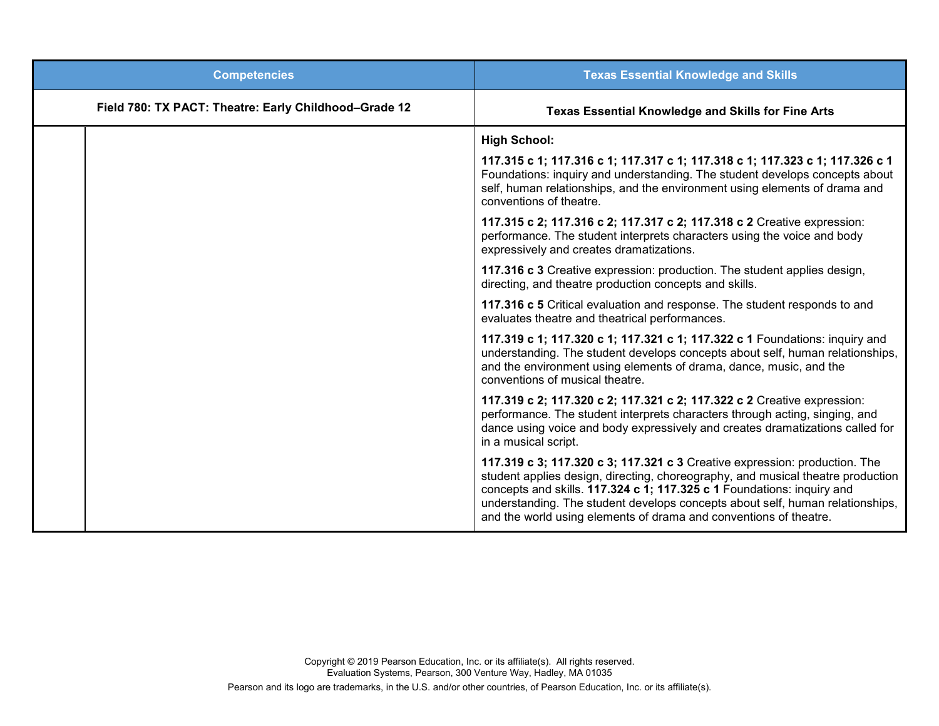| <b>Competencies</b>                                   | <b>Texas Essential Knowledge and Skills</b>                                                                                                                                                                                                                                                                                                                                                   |
|-------------------------------------------------------|-----------------------------------------------------------------------------------------------------------------------------------------------------------------------------------------------------------------------------------------------------------------------------------------------------------------------------------------------------------------------------------------------|
| Field 780: TX PACT: Theatre: Early Childhood-Grade 12 | <b>Texas Essential Knowledge and Skills for Fine Arts</b>                                                                                                                                                                                                                                                                                                                                     |
|                                                       | <b>High School:</b>                                                                                                                                                                                                                                                                                                                                                                           |
|                                                       | 117.315 c 1; 117.316 c 1; 117.317 c 1; 117.318 c 1; 117.323 c 1; 117.326 c 1<br>Foundations: inquiry and understanding. The student develops concepts about<br>self, human relationships, and the environment using elements of drama and<br>conventions of theatre.                                                                                                                          |
|                                                       | 117.315 c 2; 117.316 c 2; 117.317 c 2; 117.318 c 2 Creative expression:<br>performance. The student interprets characters using the voice and body<br>expressively and creates dramatizations.                                                                                                                                                                                                |
|                                                       | 117.316 c 3 Creative expression: production. The student applies design,<br>directing, and theatre production concepts and skills.                                                                                                                                                                                                                                                            |
|                                                       | 117.316 c 5 Critical evaluation and response. The student responds to and<br>evaluates theatre and theatrical performances.                                                                                                                                                                                                                                                                   |
|                                                       | 117.319 c 1; 117.320 c 1; 117.321 c 1; 117.322 c 1 Foundations: inquiry and<br>understanding. The student develops concepts about self, human relationships,<br>and the environment using elements of drama, dance, music, and the<br>conventions of musical theatre.                                                                                                                         |
|                                                       | 117.319 c 2; 117.320 c 2; 117.321 c 2; 117.322 c 2 Creative expression:<br>performance. The student interprets characters through acting, singing, and<br>dance using voice and body expressively and creates dramatizations called for<br>in a musical script.                                                                                                                               |
|                                                       | 117.319 c 3; 117.320 c 3; 117.321 c 3 Creative expression: production. The<br>student applies design, directing, choreography, and musical theatre production<br>concepts and skills. 117.324 c 1; 117.325 c 1 Foundations: inquiry and<br>understanding. The student develops concepts about self, human relationships,<br>and the world using elements of drama and conventions of theatre. |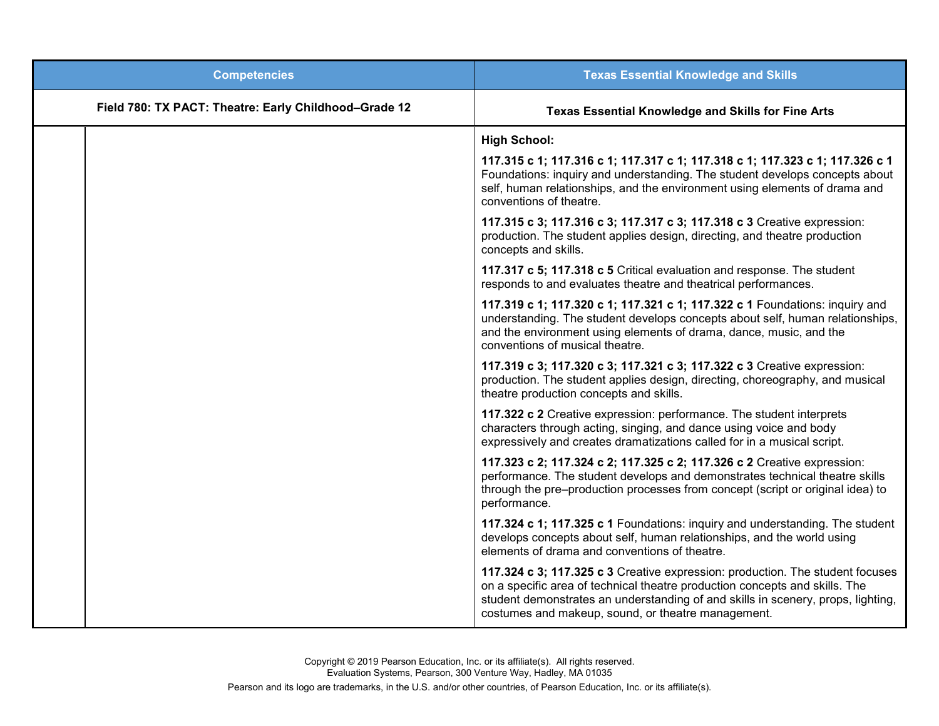| <b>Competencies</b>                                   | <b>Texas Essential Knowledge and Skills</b>                                                                                                                                                                                                                                                            |
|-------------------------------------------------------|--------------------------------------------------------------------------------------------------------------------------------------------------------------------------------------------------------------------------------------------------------------------------------------------------------|
| Field 780: TX PACT: Theatre: Early Childhood-Grade 12 | <b>Texas Essential Knowledge and Skills for Fine Arts</b>                                                                                                                                                                                                                                              |
|                                                       | <b>High School:</b>                                                                                                                                                                                                                                                                                    |
|                                                       | 117.315 c 1; 117.316 c 1; 117.317 c 1; 117.318 c 1; 117.323 c 1; 117.326 c 1<br>Foundations: inquiry and understanding. The student develops concepts about<br>self, human relationships, and the environment using elements of drama and<br>conventions of theatre.                                   |
|                                                       | 117.315 c 3; 117.316 c 3; 117.317 c 3; 117.318 c 3 Creative expression:<br>production. The student applies design, directing, and theatre production<br>concepts and skills.                                                                                                                           |
|                                                       | 117.317 c 5; 117.318 c 5 Critical evaluation and response. The student<br>responds to and evaluates theatre and theatrical performances.                                                                                                                                                               |
|                                                       | 117.319 c 1; 117.320 c 1; 117.321 c 1; 117.322 c 1 Foundations: inquiry and<br>understanding. The student develops concepts about self, human relationships,<br>and the environment using elements of drama, dance, music, and the<br>conventions of musical theatre.                                  |
|                                                       | 117.319 c 3; 117.320 c 3; 117.321 c 3; 117.322 c 3 Creative expression:<br>production. The student applies design, directing, choreography, and musical<br>theatre production concepts and skills.                                                                                                     |
|                                                       | 117.322 c 2 Creative expression: performance. The student interprets<br>characters through acting, singing, and dance using voice and body<br>expressively and creates dramatizations called for in a musical script.                                                                                  |
|                                                       | 117.323 c 2; 117.324 c 2; 117.325 c 2; 117.326 c 2 Creative expression:<br>performance. The student develops and demonstrates technical theatre skills<br>through the pre-production processes from concept (script or original idea) to<br>performance.                                               |
|                                                       | 117.324 c 1; 117.325 c 1 Foundations: inquiry and understanding. The student<br>develops concepts about self, human relationships, and the world using<br>elements of drama and conventions of theatre.                                                                                                |
|                                                       | 117.324 c 3; 117.325 c 3 Creative expression: production. The student focuses<br>on a specific area of technical theatre production concepts and skills. The<br>student demonstrates an understanding of and skills in scenery, props, lighting,<br>costumes and makeup, sound, or theatre management. |

Copyright © 2019 Pearson Education, Inc. or its affiliate(s). All rights reserved. Evaluation Systems, Pearson, 300 Venture Way, Hadley, MA 01035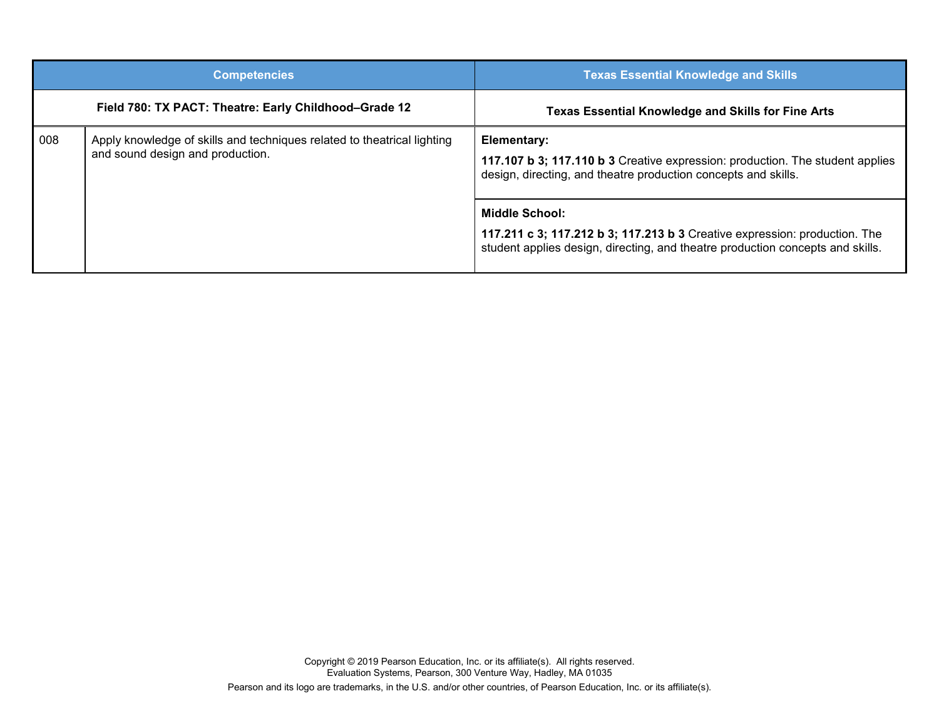|     | <b>Competencies</b>                                                                                         | <b>Texas Essential Knowledge and Skills</b>                                                                                                                                    |
|-----|-------------------------------------------------------------------------------------------------------------|--------------------------------------------------------------------------------------------------------------------------------------------------------------------------------|
|     | Field 780: TX PACT: Theatre: Early Childhood-Grade 12                                                       | <b>Texas Essential Knowledge and Skills for Fine Arts</b>                                                                                                                      |
| 008 | Apply knowledge of skills and techniques related to theatrical lighting<br>and sound design and production. | Elementary:<br>117.107 b 3; 117.110 b 3 Creative expression: production. The student applies<br>design, directing, and theatre production concepts and skills.                 |
|     |                                                                                                             | Middle School:<br>117.211 c 3; 117.212 b 3; 117.213 b 3 Creative expression: production. The<br>student applies design, directing, and theatre production concepts and skills. |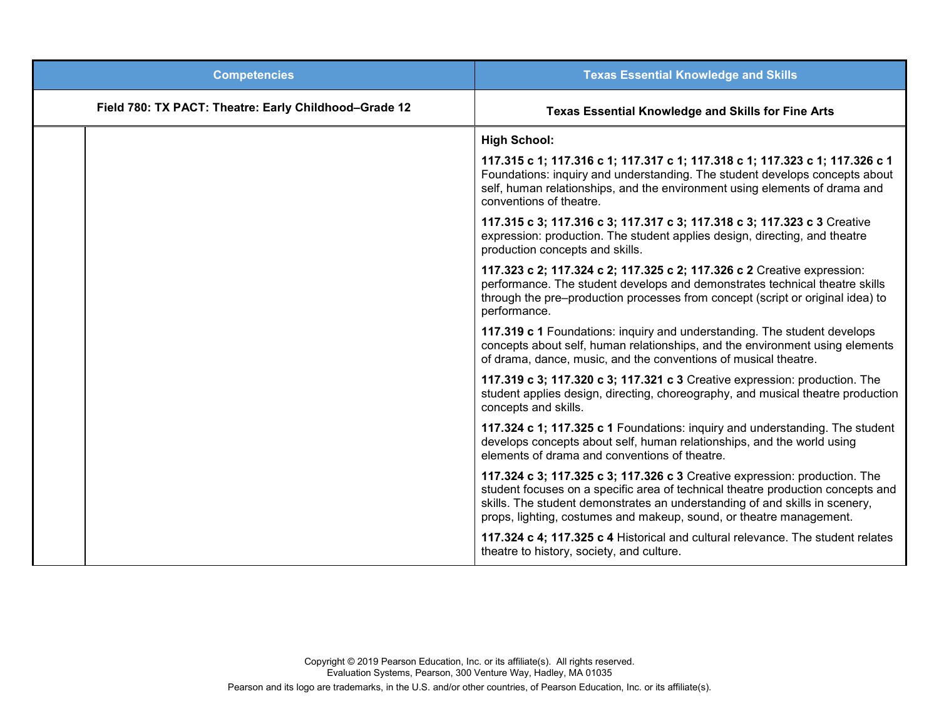| <b>Competencies</b>                                   | <b>Texas Essential Knowledge and Skills</b>                                                                                                                                                                                                                                                                         |
|-------------------------------------------------------|---------------------------------------------------------------------------------------------------------------------------------------------------------------------------------------------------------------------------------------------------------------------------------------------------------------------|
| Field 780: TX PACT: Theatre: Early Childhood-Grade 12 | <b>Texas Essential Knowledge and Skills for Fine Arts</b>                                                                                                                                                                                                                                                           |
|                                                       | <b>High School:</b>                                                                                                                                                                                                                                                                                                 |
|                                                       | 117.315 c 1; 117.316 c 1; 117.317 c 1; 117.318 c 1; 117.323 c 1; 117.326 c 1<br>Foundations: inquiry and understanding. The student develops concepts about<br>self, human relationships, and the environment using elements of drama and<br>conventions of theatre.                                                |
|                                                       | 117.315 c 3; 117.316 c 3; 117.317 c 3; 117.318 c 3; 117.323 c 3 Creative<br>expression: production. The student applies design, directing, and theatre<br>production concepts and skills.                                                                                                                           |
|                                                       | 117.323 c 2; 117.324 c 2; 117.325 c 2; 117.326 c 2 Creative expression:<br>performance. The student develops and demonstrates technical theatre skills<br>through the pre-production processes from concept (script or original idea) to<br>performance.                                                            |
|                                                       | 117.319 c 1 Foundations: inquiry and understanding. The student develops<br>concepts about self, human relationships, and the environment using elements<br>of drama, dance, music, and the conventions of musical theatre.                                                                                         |
|                                                       | 117.319 c 3; 117.320 c 3; 117.321 c 3 Creative expression: production. The<br>student applies design, directing, choreography, and musical theatre production<br>concepts and skills.                                                                                                                               |
|                                                       | 117.324 c 1; 117.325 c 1 Foundations: inquiry and understanding. The student<br>develops concepts about self, human relationships, and the world using<br>elements of drama and conventions of theatre.                                                                                                             |
|                                                       | 117.324 c 3; 117.325 c 3; 117.326 c 3 Creative expression: production. The<br>student focuses on a specific area of technical theatre production concepts and<br>skills. The student demonstrates an understanding of and skills in scenery,<br>props, lighting, costumes and makeup, sound, or theatre management. |
|                                                       | 117.324 c 4; 117.325 c 4 Historical and cultural relevance. The student relates<br>theatre to history, society, and culture.                                                                                                                                                                                        |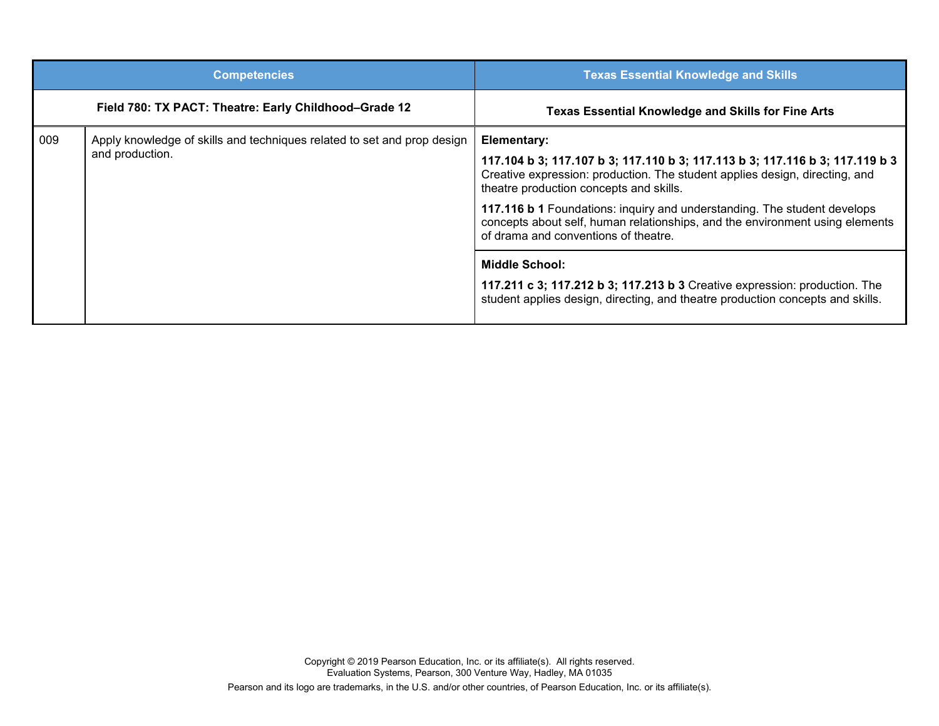|     | <b>Competencies</b>                                                                        | <b>Texas Essential Knowledge and Skills</b>                                                                                                                                                                                                                                                                                                                                                                                                               |
|-----|--------------------------------------------------------------------------------------------|-----------------------------------------------------------------------------------------------------------------------------------------------------------------------------------------------------------------------------------------------------------------------------------------------------------------------------------------------------------------------------------------------------------------------------------------------------------|
|     | Field 780: TX PACT: Theatre: Early Childhood-Grade 12                                      | <b>Texas Essential Knowledge and Skills for Fine Arts</b>                                                                                                                                                                                                                                                                                                                                                                                                 |
| 009 | Apply knowledge of skills and techniques related to set and prop design<br>and production. | <b>Elementary:</b><br>117.104 b 3; 117.107 b 3; 117.110 b 3; 117.113 b 3; 117.116 b 3; 117.119 b 3<br>Creative expression: production. The student applies design, directing, and<br>theatre production concepts and skills.<br>117.116 b 1 Foundations: inquiry and understanding. The student develops<br>concepts about self, human relationships, and the environment using elements<br>of drama and conventions of theatre.<br><b>Middle School:</b> |
|     |                                                                                            | 117.211 c 3; 117.212 b 3; 117.213 b 3 Creative expression: production. The<br>student applies design, directing, and theatre production concepts and skills.                                                                                                                                                                                                                                                                                              |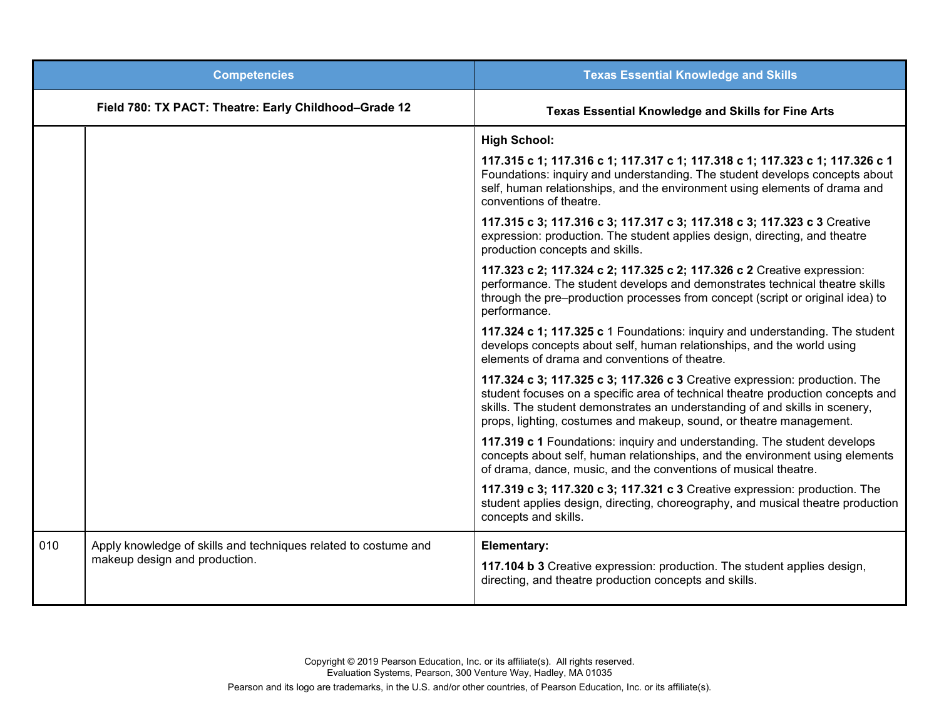|     | <b>Competencies</b>                                                                              | <b>Texas Essential Knowledge and Skills</b>                                                                                                                                                                                                                                                                         |
|-----|--------------------------------------------------------------------------------------------------|---------------------------------------------------------------------------------------------------------------------------------------------------------------------------------------------------------------------------------------------------------------------------------------------------------------------|
|     | Field 780: TX PACT: Theatre: Early Childhood-Grade 12                                            | <b>Texas Essential Knowledge and Skills for Fine Arts</b>                                                                                                                                                                                                                                                           |
|     |                                                                                                  | <b>High School:</b>                                                                                                                                                                                                                                                                                                 |
|     |                                                                                                  | 117.315 c 1; 117.316 c 1; 117.317 c 1; 117.318 c 1; 117.323 c 1; 117.326 c 1<br>Foundations: inquiry and understanding. The student develops concepts about<br>self, human relationships, and the environment using elements of drama and<br>conventions of theatre.                                                |
|     |                                                                                                  | 117.315 c 3; 117.316 c 3; 117.317 c 3; 117.318 c 3; 117.323 c 3 Creative<br>expression: production. The student applies design, directing, and theatre<br>production concepts and skills.                                                                                                                           |
|     |                                                                                                  | 117.323 c 2; 117.324 c 2; 117.325 c 2; 117.326 c 2 Creative expression:<br>performance. The student develops and demonstrates technical theatre skills<br>through the pre-production processes from concept (script or original idea) to<br>performance.                                                            |
|     |                                                                                                  | 117.324 c 1; 117.325 c 1 Foundations: inquiry and understanding. The student<br>develops concepts about self, human relationships, and the world using<br>elements of drama and conventions of theatre.                                                                                                             |
|     |                                                                                                  | 117.324 c 3; 117.325 c 3; 117.326 c 3 Creative expression: production. The<br>student focuses on a specific area of technical theatre production concepts and<br>skills. The student demonstrates an understanding of and skills in scenery,<br>props, lighting, costumes and makeup, sound, or theatre management. |
|     |                                                                                                  | 117.319 c 1 Foundations: inquiry and understanding. The student develops<br>concepts about self, human relationships, and the environment using elements<br>of drama, dance, music, and the conventions of musical theatre.                                                                                         |
|     |                                                                                                  | 117.319 c 3; 117.320 c 3; 117.321 c 3 Creative expression: production. The<br>student applies design, directing, choreography, and musical theatre production<br>concepts and skills.                                                                                                                               |
| 010 | Apply knowledge of skills and techniques related to costume and<br>makeup design and production. | Elementary:<br>117.104 b 3 Creative expression: production. The student applies design,<br>directing, and theatre production concepts and skills.                                                                                                                                                                   |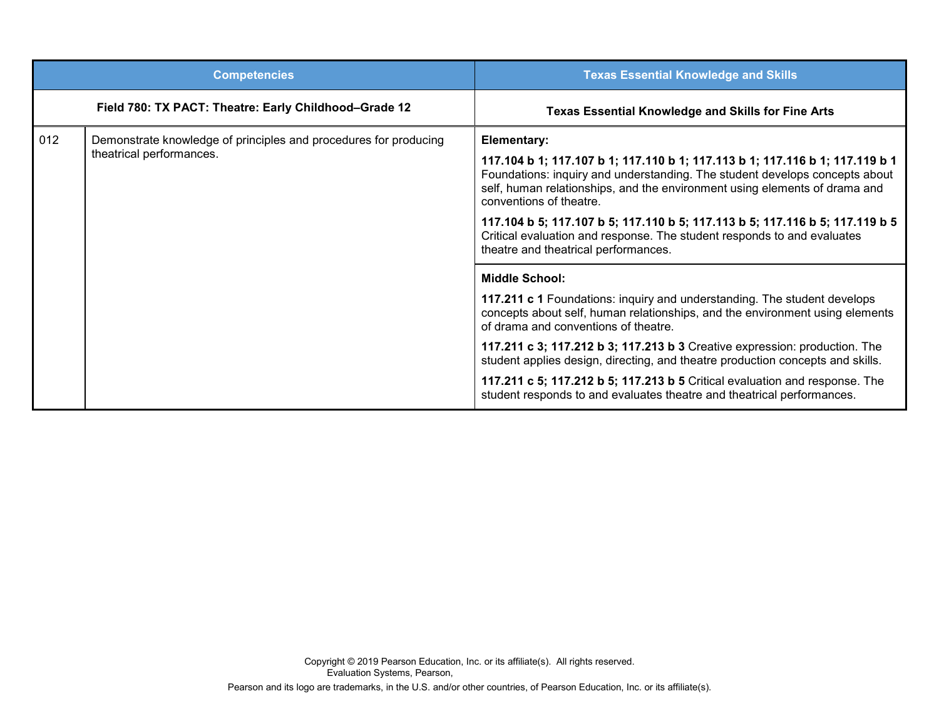|     | <b>Competencies</b>                                                                          | <b>Texas Essential Knowledge and Skills</b>                                                                                                                                                                                                                                                                                                                                                                                                                                                                                                        |
|-----|----------------------------------------------------------------------------------------------|----------------------------------------------------------------------------------------------------------------------------------------------------------------------------------------------------------------------------------------------------------------------------------------------------------------------------------------------------------------------------------------------------------------------------------------------------------------------------------------------------------------------------------------------------|
|     | Field 780: TX PACT: Theatre: Early Childhood-Grade 12                                        | <b>Texas Essential Knowledge and Skills for Fine Arts</b>                                                                                                                                                                                                                                                                                                                                                                                                                                                                                          |
| 012 | Demonstrate knowledge of principles and procedures for producing<br>theatrical performances. | <b>Elementary:</b><br>117.104 b 1; 117.107 b 1; 117.110 b 1; 117.113 b 1; 117.116 b 1; 117.119 b 1<br>Foundations: inquiry and understanding. The student develops concepts about<br>self, human relationships, and the environment using elements of drama and<br>conventions of theatre.<br>117.104 b 5; 117.107 b 5; 117.110 b 5; 117.113 b 5; 117.116 b 5; 117.119 b 5<br>Critical evaluation and response. The student responds to and evaluates<br>theatre and theatrical performances.                                                      |
|     |                                                                                              | <b>Middle School:</b><br>117.211 c 1 Foundations: inquiry and understanding. The student develops<br>concepts about self, human relationships, and the environment using elements<br>of drama and conventions of theatre.<br>117.211 c 3; 117.212 b 3; 117.213 b 3 Creative expression: production. The<br>student applies design, directing, and theatre production concepts and skills.<br>117.211 c 5; 117.212 b 5; 117.213 b 5 Critical evaluation and response. The<br>student responds to and evaluates theatre and theatrical performances. |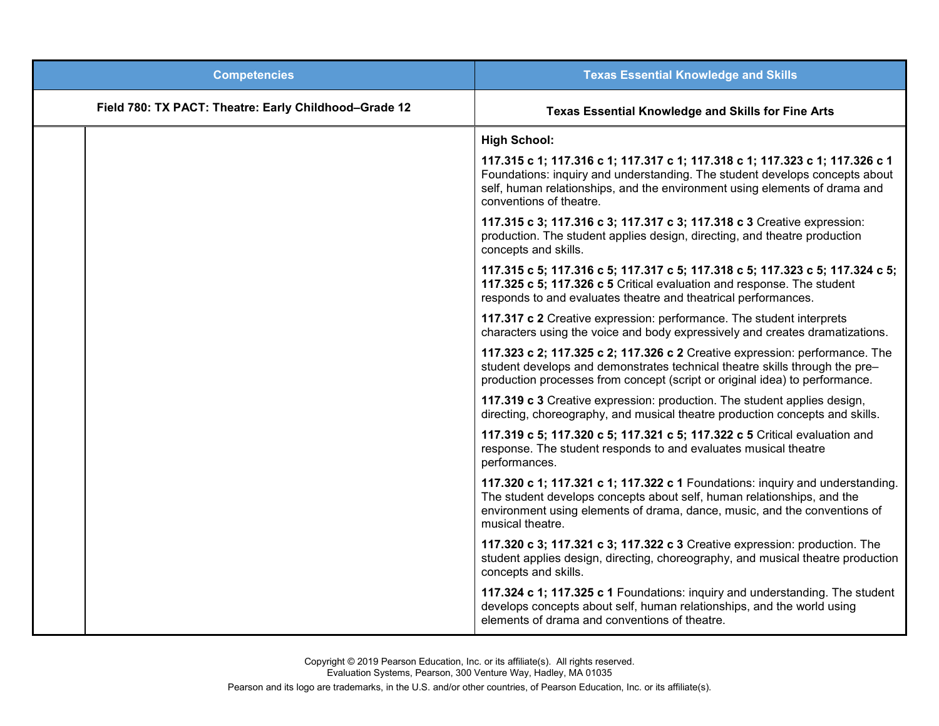| <b>Competencies</b>                                   | <b>Texas Essential Knowledge and Skills</b>                                                                                                                                                                                                                          |
|-------------------------------------------------------|----------------------------------------------------------------------------------------------------------------------------------------------------------------------------------------------------------------------------------------------------------------------|
| Field 780: TX PACT: Theatre: Early Childhood-Grade 12 | <b>Texas Essential Knowledge and Skills for Fine Arts</b>                                                                                                                                                                                                            |
|                                                       | <b>High School:</b>                                                                                                                                                                                                                                                  |
|                                                       | 117.315 c 1; 117.316 c 1; 117.317 c 1; 117.318 c 1; 117.323 c 1; 117.326 c 1<br>Foundations: inquiry and understanding. The student develops concepts about<br>self, human relationships, and the environment using elements of drama and<br>conventions of theatre. |
|                                                       | 117.315 c 3; 117.316 c 3; 117.317 c 3; 117.318 c 3 Creative expression:<br>production. The student applies design, directing, and theatre production<br>concepts and skills.                                                                                         |
|                                                       | 117.315 c 5; 117.316 c 5; 117.317 c 5; 117.318 c 5; 117.323 c 5; 117.324 c 5;<br>117.325 c 5; 117.326 c 5 Critical evaluation and response. The student<br>responds to and evaluates theatre and theatrical performances.                                            |
|                                                       | 117.317 c 2 Creative expression: performance. The student interprets<br>characters using the voice and body expressively and creates dramatizations.                                                                                                                 |
|                                                       | 117.323 c 2; 117.325 c 2; 117.326 c 2 Creative expression: performance. The<br>student develops and demonstrates technical theatre skills through the pre-<br>production processes from concept (script or original idea) to performance.                            |
|                                                       | 117.319 c 3 Creative expression: production. The student applies design,<br>directing, choreography, and musical theatre production concepts and skills.                                                                                                             |
|                                                       | 117.319 c 5; 117.320 c 5; 117.321 c 5; 117.322 c 5 Critical evaluation and<br>response. The student responds to and evaluates musical theatre<br>performances.                                                                                                       |
|                                                       | 117.320 c 1; 117.321 c 1; 117.322 c 1 Foundations: inquiry and understanding.<br>The student develops concepts about self, human relationships, and the<br>environment using elements of drama, dance, music, and the conventions of<br>musical theatre.             |
|                                                       | 117.320 c 3; 117.321 c 3; 117.322 c 3 Creative expression: production. The<br>student applies design, directing, choreography, and musical theatre production<br>concepts and skills.                                                                                |
|                                                       | 117.324 c 1; 117.325 c 1 Foundations: inquiry and understanding. The student<br>develops concepts about self, human relationships, and the world using<br>elements of drama and conventions of theatre.                                                              |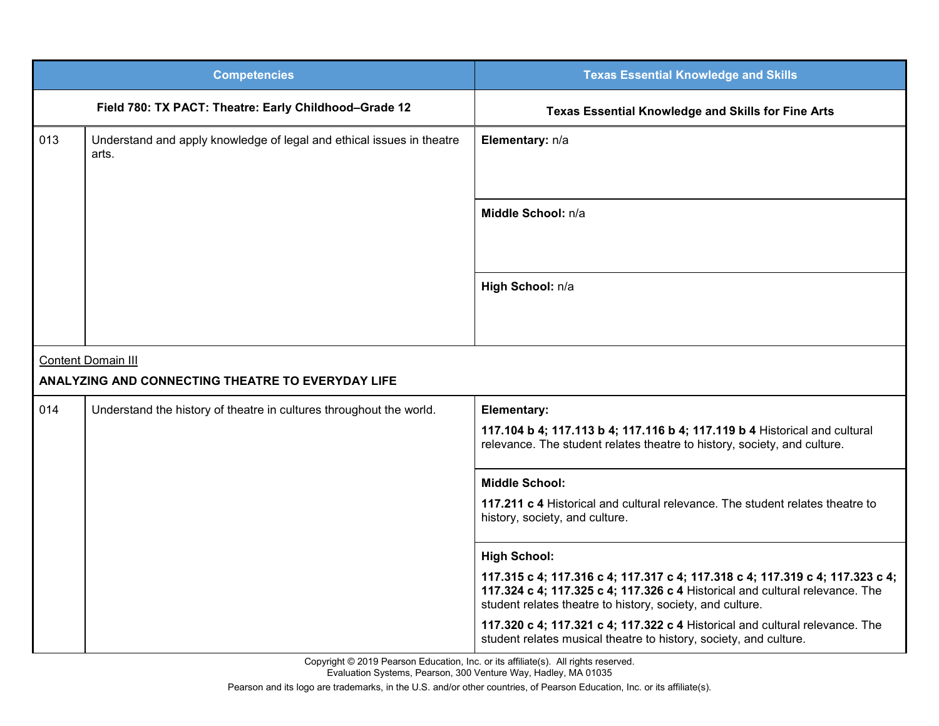|                                                   | <b>Competencies</b>                                                            | <b>Texas Essential Knowledge and Skills</b>                                                                                                                                                                                |  |  |
|---------------------------------------------------|--------------------------------------------------------------------------------|----------------------------------------------------------------------------------------------------------------------------------------------------------------------------------------------------------------------------|--|--|
|                                                   | Field 780: TX PACT: Theatre: Early Childhood-Grade 12                          | Texas Essential Knowledge and Skills for Fine Arts                                                                                                                                                                         |  |  |
| 013                                               | Understand and apply knowledge of legal and ethical issues in theatre<br>arts. | Elementary: n/a                                                                                                                                                                                                            |  |  |
|                                                   |                                                                                | Middle School: n/a                                                                                                                                                                                                         |  |  |
|                                                   |                                                                                | High School: n/a                                                                                                                                                                                                           |  |  |
| <b>Content Domain III</b>                         |                                                                                |                                                                                                                                                                                                                            |  |  |
| ANALYZING AND CONNECTING THEATRE TO EVERYDAY LIFE |                                                                                |                                                                                                                                                                                                                            |  |  |
| 014                                               | Understand the history of theatre in cultures throughout the world.            | Elementary:                                                                                                                                                                                                                |  |  |
|                                                   |                                                                                | 117.104 b 4; 117.113 b 4; 117.116 b 4; 117.119 b 4 Historical and cultural<br>relevance. The student relates theatre to history, society, and culture.                                                                     |  |  |
|                                                   |                                                                                | <b>Middle School:</b>                                                                                                                                                                                                      |  |  |
|                                                   |                                                                                | 117.211 c 4 Historical and cultural relevance. The student relates theatre to<br>history, society, and culture.                                                                                                            |  |  |
|                                                   |                                                                                | <b>High School:</b>                                                                                                                                                                                                        |  |  |
|                                                   |                                                                                | 117.315 c 4; 117.316 c 4; 117.317 c 4; 117.318 c 4; 117.319 c 4; 117.323 c 4;<br>117.324 c 4; 117.325 c 4; 117.326 c 4 Historical and cultural relevance. The<br>student relates theatre to history, society, and culture. |  |  |
|                                                   |                                                                                | 117.320 c 4; 117.321 c 4; 117.322 c 4 Historical and cultural relevance. The<br>student relates musical theatre to history, society, and culture.                                                                          |  |  |

Copyright © 2019 Pearson Education, Inc. or its affiliate(s). All rights reserved. Evaluation Systems, Pearson, 300 Venture Way, Hadley, MA 01035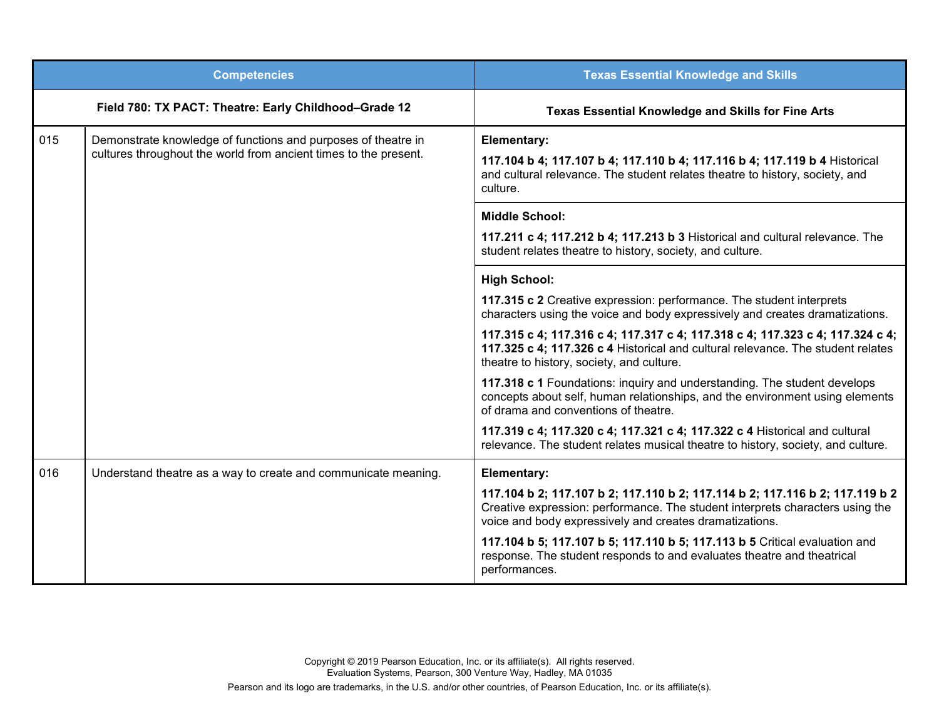|                                                       | <b>Competencies</b>                                                                                                               | <b>Texas Essential Knowledge and Skills</b>                                                                                                                                                                              |
|-------------------------------------------------------|-----------------------------------------------------------------------------------------------------------------------------------|--------------------------------------------------------------------------------------------------------------------------------------------------------------------------------------------------------------------------|
| Field 780: TX PACT: Theatre: Early Childhood-Grade 12 |                                                                                                                                   | <b>Texas Essential Knowledge and Skills for Fine Arts</b>                                                                                                                                                                |
| 015                                                   | Demonstrate knowledge of functions and purposes of theatre in<br>cultures throughout the world from ancient times to the present. | <b>Elementary:</b><br>117.104 b 4; 117.107 b 4; 117.110 b 4; 117.116 b 4; 117.119 b 4 Historical<br>and cultural relevance. The student relates theatre to history, society, and<br>culture.                             |
|                                                       |                                                                                                                                   | <b>Middle School:</b><br>117.211 c 4; 117.212 b 4; 117.213 b 3 Historical and cultural relevance. The<br>student relates theatre to history, society, and culture.                                                       |
|                                                       |                                                                                                                                   | <b>High School:</b><br>117.315 c 2 Creative expression: performance. The student interprets<br>characters using the voice and body expressively and creates dramatizations.                                              |
|                                                       |                                                                                                                                   | 117.315 c 4; 117.316 c 4; 117.317 c 4; 117.318 c 4; 117.323 c 4; 117.324 c 4;<br>117.325 c 4; 117.326 c 4 Historical and cultural relevance. The student relates<br>theatre to history, society, and culture.            |
|                                                       |                                                                                                                                   | 117.318 c 1 Foundations: inquiry and understanding. The student develops<br>concepts about self, human relationships, and the environment using elements<br>of drama and conventions of theatre.                         |
|                                                       |                                                                                                                                   | 117.319 c 4; 117.320 c 4; 117.321 c 4; 117.322 c 4 Historical and cultural<br>relevance. The student relates musical theatre to history, society, and culture.                                                           |
| 016                                                   | Understand theatre as a way to create and communicate meaning.                                                                    | Elementary:                                                                                                                                                                                                              |
|                                                       |                                                                                                                                   | 117.104 b 2; 117.107 b 2; 117.110 b 2; 117.114 b 2; 117.116 b 2; 117.119 b 2<br>Creative expression: performance. The student interprets characters using the<br>voice and body expressively and creates dramatizations. |
|                                                       |                                                                                                                                   | 117.104 b 5; 117.107 b 5; 117.110 b 5; 117.113 b 5 Critical evaluation and<br>response. The student responds to and evaluates theatre and theatrical<br>performances.                                                    |